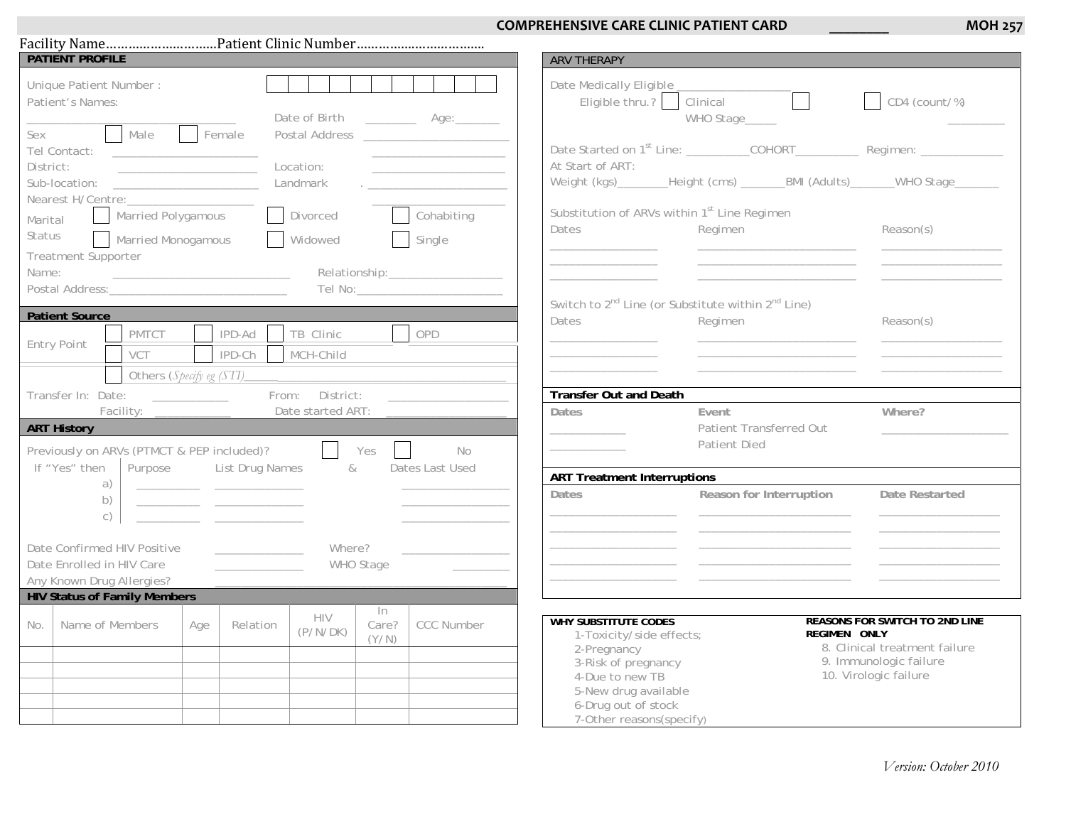## **COMPREHENSIVE CARE CLINIC PATIENT CARD**

**\_\_\_\_\_\_\_\_**

|                                                                                       | <b>PATIENT PROFILE</b>                                                  |                                              |                        |                                          | <b>ARV THERAPY</b>                          |                                                                                       |                 |
|---------------------------------------------------------------------------------------|-------------------------------------------------------------------------|----------------------------------------------|------------------------|------------------------------------------|---------------------------------------------|---------------------------------------------------------------------------------------|-----------------|
| Unique Patient Number:<br>Patient's Names:                                            |                                                                         |                                              |                        | Date of Birth _____________ Age:________ | Date Medically Eligible<br>Eligible thru.?  | Clinical <b>Clinical</b><br>WHO Stage_____                                            | $CD4$ (count/%) |
| Sex<br>Tel Contact:                                                                   | Male                                                                    | Female                                       |                        |                                          |                                             |                                                                                       |                 |
| District:                                                                             | <u> The Communication of the Communication</u><br>Nearest H/Centre:     |                                              | Location:<br>Landmark  |                                          | At Start of ART:                            | Weight (kgs)________Height (cms) ________BMI (Adults)_______WHO Stage________         |                 |
| Marital<br>Status                                                                     | Married Polygamous<br><b>Married Monogamous</b>                         |                                              | Divorced<br>Widowed    | Cohabiting<br>Single<br>I.               | Dates                                       | Substitution of ARVs within 1 <sup>st</sup> Line Regimen<br>Regimen                   | Reason(s)       |
| <b>Treatment Supporter</b><br>Name:                                                   |                                                                         |                                              |                        | Tel No: _______________________          |                                             |                                                                                       |                 |
| <b>Patient Source</b>                                                                 |                                                                         |                                              |                        |                                          | Dates                                       | Switch to 2 <sup>nd</sup> Line (or Substitute within 2 <sup>nd</sup> Line)<br>Regimen | Reason(s)       |
| Entry Point                                                                           | PMTCT<br>VCT                                                            | IPD-Ad<br>IPD-Ch                             | TB Clinic<br>MCH-Child | OPD                                      |                                             |                                                                                       |                 |
|                                                                                       |                                                                         |                                              |                        |                                          |                                             |                                                                                       |                 |
|                                                                                       | Transfer In: Date: ______________                                       |                                              | From: District:        |                                          | <b>Transfer Out and Death</b>               |                                                                                       |                 |
| <b>ART History</b>                                                                    | Facility: _______________<br>Previously on ARVs (PTMCT & PEP included)? |                                              | $\Box$                 | Date started ART: _________<br>Yes<br>No | <b>Dates</b>                                | Event<br>Patient Transferred Out<br>Patient Died                                      | Where?          |
|                                                                                       |                                                                         | List Drug Names                              | &                      | Dates Last Used                          |                                             |                                                                                       |                 |
| If "Yes" then                                                                         | Purpose                                                                 |                                              |                        |                                          |                                             |                                                                                       |                 |
|                                                                                       | a)<br>b)<br>$\circ$ )                                                   | the control of the control of the control of |                        |                                          | <b>ART Treatment Interruptions</b><br>Dates | Reason for Interruption                                                               | Date Restarted  |
| Date Confirmed HIV Positive<br>Date Enrolled in HIV Care<br>Any Known Drug Allergies? |                                                                         | <u> 1999 - Johann Barbara, martin a</u>      | Where?<br>WHO Stage    |                                          |                                             |                                                                                       |                 |
|                                                                                       | <b>HIV Status of Family Members</b>                                     |                                              | HIV                    | In                                       |                                             |                                                                                       |                 |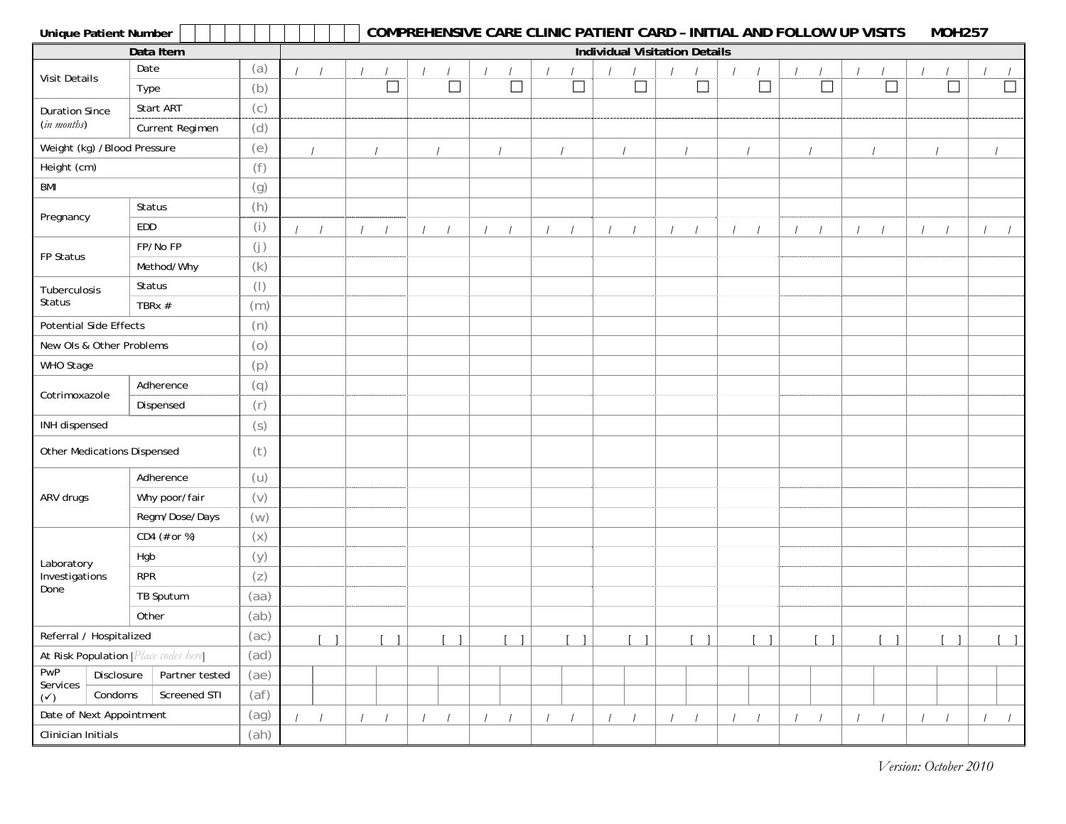| <b>Unique Patient Number</b>          |                 |                |  |  |  | <b>COMPREHENSIVE CARE CLINIC PATIENT CARD - INITIAL AND FOLLOW UP VISITS</b> |  |        |          |          |        |        |          |                                      |                          |        |        | <b>MOH257</b> |          |                  |
|---------------------------------------|-----------------|----------------|--|--|--|------------------------------------------------------------------------------|--|--------|----------|----------|--------|--------|----------|--------------------------------------|--------------------------|--------|--------|---------------|----------|------------------|
|                                       | Data Item       |                |  |  |  |                                                                              |  |        |          |          |        |        |          | <b>Individual Visitation Details</b> |                          |        |        |               |          |                  |
| Visit Details                         | Date            | (a)            |  |  |  |                                                                              |  |        |          |          |        |        |          |                                      |                          |        |        |               |          |                  |
|                                       | Type            | (b)            |  |  |  | $\Box$                                                                       |  | $\Box$ |          | $\Box$   | $\Box$ | $\Box$ |          | $\Box$                               | $\overline{\phantom{a}}$ | $\Box$ | $\Box$ | $\Box$        |          | $\Box$           |
| <b>Duration Since</b>                 | Start ART       | (c)            |  |  |  |                                                                              |  |        |          |          |        |        |          |                                      |                          |        |        |               |          |                  |
| (in months)                           | Current Regimen | (d)            |  |  |  |                                                                              |  |        |          |          |        |        |          |                                      |                          |        |        |               |          |                  |
| Weight (kg) /Blood Pressure           |                 | (e)            |  |  |  |                                                                              |  |        |          |          |        |        |          |                                      |                          |        |        |               |          |                  |
| Height (cm)                           |                 | (f)            |  |  |  |                                                                              |  |        |          |          |        |        |          |                                      |                          |        |        |               |          |                  |
| <b>BMI</b>                            |                 | (g)            |  |  |  |                                                                              |  |        |          |          |        |        |          |                                      |                          |        |        |               |          |                  |
| Pregnancy                             | Status          | (h)            |  |  |  |                                                                              |  |        |          |          |        |        |          |                                      |                          |        |        |               |          |                  |
|                                       | EDD             | (i)            |  |  |  |                                                                              |  |        |          |          |        |        |          |                                      |                          |        |        |               |          |                  |
| FP Status                             | FP/No FP        | (j)            |  |  |  |                                                                              |  |        |          |          |        |        |          |                                      |                          |        |        |               |          |                  |
|                                       | Method/Why      | (k)            |  |  |  |                                                                              |  |        |          |          |        |        |          |                                      |                          |        |        |               |          |                  |
| Tuberculosis                          | Status          | $(\vert)$      |  |  |  |                                                                              |  |        |          |          |        |        |          |                                      |                          |        |        |               |          |                  |
| Status                                | TBRx #          | (m)            |  |  |  |                                                                              |  |        |          |          |        |        |          |                                      |                          |        |        |               |          |                  |
| Potential Side Effects                |                 | (n)            |  |  |  |                                                                              |  |        |          |          |        |        |          |                                      |                          |        |        |               |          |                  |
| New Ols & Other Problems              |                 | (0)            |  |  |  |                                                                              |  |        |          |          |        |        |          |                                      |                          |        |        |               |          |                  |
| WHO Stage                             |                 | (p)            |  |  |  |                                                                              |  |        |          |          |        |        |          |                                      |                          |        |        |               |          |                  |
| Cotrimoxazole                         | Adherence       | (q)            |  |  |  |                                                                              |  |        |          |          |        |        |          |                                      |                          |        |        |               |          |                  |
|                                       | Dispensed       | (r)            |  |  |  |                                                                              |  |        |          |          |        |        |          |                                      |                          |        |        |               |          |                  |
| INH dispensed                         |                 | (s)            |  |  |  |                                                                              |  |        |          |          |        |        |          |                                      |                          |        |        |               |          |                  |
| Other Medications Dispensed           |                 | (t)            |  |  |  |                                                                              |  |        |          |          |        |        |          |                                      |                          |        |        |               |          |                  |
|                                       | Adherence       | (U)            |  |  |  |                                                                              |  |        |          |          |        |        |          |                                      |                          |        |        |               |          |                  |
| ARV drugs                             | Why poor/fair   | (v)            |  |  |  |                                                                              |  |        |          |          |        |        |          |                                      |                          |        |        |               |          |                  |
|                                       | Regm/Dose/Days  | (w)            |  |  |  |                                                                              |  |        |          |          |        |        |          |                                      |                          |        |        |               |          |                  |
|                                       | CD4 (# or %)    | $(\mathsf{X})$ |  |  |  |                                                                              |  |        |          |          |        |        |          |                                      |                          |        |        |               |          |                  |
| Laboratory                            | Hgb             | (y)            |  |  |  |                                                                              |  |        |          |          |        |        |          |                                      |                          |        |        |               |          |                  |
| Investigations                        | <b>RPR</b>      | (z)            |  |  |  |                                                                              |  |        |          |          |        |        |          |                                      |                          |        |        |               |          |                  |
| Done                                  | TB Sputum       | (aa)           |  |  |  |                                                                              |  |        |          |          |        |        |          |                                      |                          |        |        |               |          |                  |
|                                       | Other           | (ab)           |  |  |  |                                                                              |  |        |          |          |        |        |          |                                      |                          |        |        |               |          |                  |
| Referral / Hospitalized               |                 | (ac)           |  |  |  |                                                                              |  |        |          |          |        | -1     |          |                                      |                          |        |        |               |          |                  |
| At Risk Population [Place codes here] |                 | (ad)           |  |  |  |                                                                              |  |        |          |          |        |        |          |                                      |                          |        |        |               |          |                  |
| PWP<br>Disclosure<br>Services         | Partner tested  | (ae)           |  |  |  |                                                                              |  |        |          |          |        |        |          |                                      |                          |        |        |               |          |                  |
| Condoms<br>$(\checkmark)$             | Screened STI    | (af)           |  |  |  |                                                                              |  |        |          |          |        |        |          |                                      |                          |        |        |               |          |                  |
| Date of Next Appointment              |                 | (ag)           |  |  |  |                                                                              |  |        | $\prime$ | $\prime$ |        |        | $\prime$ |                                      |                          |        |        | $\prime$      | $\prime$ | $\left  \right $ |
| Clinician Initials                    |                 | (ah)           |  |  |  |                                                                              |  |        |          |          |        |        |          |                                      |                          |        |        |               |          |                  |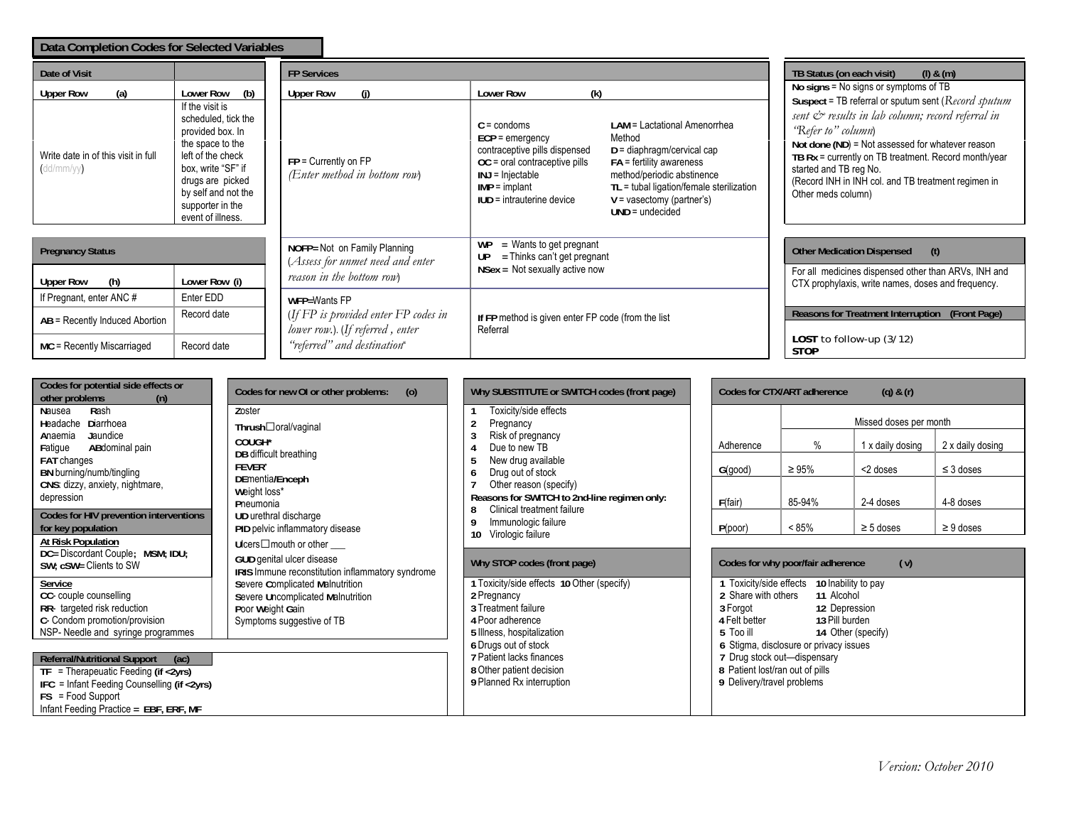| Data Completion Codes for Selected Variables                                 |                                                                                                                                                                                                                                   |                                                                                               |                                                                                                                                                                                                                                                                                                                                                                                                                                                |                                                                                                                                                                                                                                                                                                                                                                                                         |  |  |  |
|------------------------------------------------------------------------------|-----------------------------------------------------------------------------------------------------------------------------------------------------------------------------------------------------------------------------------|-----------------------------------------------------------------------------------------------|------------------------------------------------------------------------------------------------------------------------------------------------------------------------------------------------------------------------------------------------------------------------------------------------------------------------------------------------------------------------------------------------------------------------------------------------|---------------------------------------------------------------------------------------------------------------------------------------------------------------------------------------------------------------------------------------------------------------------------------------------------------------------------------------------------------------------------------------------------------|--|--|--|
| Date of Visit                                                                |                                                                                                                                                                                                                                   | <b>FP Services</b>                                                                            | TB Status (on each visit)<br>$(l)$ & $(m)$                                                                                                                                                                                                                                                                                                                                                                                                     |                                                                                                                                                                                                                                                                                                                                                                                                         |  |  |  |
| (a)<br><b>Upper Row</b><br>Write date in of this visit in full<br>(dd/mm/yy) | Lower Row<br>(b)<br>If the visit is<br>scheduled, tick the<br>provided box. In<br>the space to the<br>left of the check<br>box, write "SF" if<br>drugs are picked<br>by self and not the<br>supporter in the<br>event of illness. | <b>Upper Row</b><br>$FP =$ Currently on $FP$<br>(Enter method in bottom row)                  | (k)<br><b>Lower Row</b><br>$C =$ condoms<br>LAM = Lactational Amenorrhea<br>Method<br>$ECP =$ emergency<br>contraceptive pills dispensed<br>$D =$ diaphragm/cervical cap<br>$OC = oral contractive pills$<br>$FA =$ fertility awareness<br>method/periodic abstinence<br>$INJ = Injectable$<br>TL = tubal ligation/female sterilization<br>$IMP = implant$<br>$IUD =$ intrauterine device<br>$V = v$ asectomy (partner's)<br>$UND = undecided$ | No signs = No signs or symptoms of TB<br>Suspect = TB referral or sputum sent (Record sputum<br>sent $\mathcal{Q}$ results in lab column; record referral in<br>'Refer to" column)<br>Not done (ND) = Not assessed for whatever reason<br>TB $Rx =$ currently on TB treatment. Record month/year<br>started and TB reg No.<br>(Record INH in INH col. and TB treatment regimen in<br>Other meds column) |  |  |  |
| <b>Pregnancy Status</b>                                                      |                                                                                                                                                                                                                                   | NOFP= Not on Family Planning<br>(Assess for unmet need and enter<br>reason in the bottom row) | $=$ Wants to get pregnant<br><b>WP</b><br>$=$ Thinks can't get pregnant<br>UP<br>$N$ Sex = Not sexually active now                                                                                                                                                                                                                                                                                                                             | <b>Other Medication Dispensed</b><br>(t)<br>For all medicines dispensed other than ARVs, INH and                                                                                                                                                                                                                                                                                                        |  |  |  |
| (h)<br><b>Upper Row</b>                                                      | Lower Row (i)<br>Enter EDD                                                                                                                                                                                                        |                                                                                               |                                                                                                                                                                                                                                                                                                                                                                                                                                                | CTX prophylaxis, write names, doses and frequency.                                                                                                                                                                                                                                                                                                                                                      |  |  |  |
| If Pregnant, enter ANC#                                                      | Record date                                                                                                                                                                                                                       | WFP=Wants FP                                                                                  |                                                                                                                                                                                                                                                                                                                                                                                                                                                | Reasons for Treatment Interruption (Front Page)                                                                                                                                                                                                                                                                                                                                                         |  |  |  |
| AB = Recently Induced Abortion                                               |                                                                                                                                                                                                                                   | (If FP is provided enter FP codes in<br>lower row.) (If referred, enter                       | If FP method is given enter FP code (from the list<br>Referral                                                                                                                                                                                                                                                                                                                                                                                 |                                                                                                                                                                                                                                                                                                                                                                                                         |  |  |  |
| MC = Recently Miscarriaged                                                   | Record date                                                                                                                                                                                                                       | "referred" and destination"                                                                   |                                                                                                                                                                                                                                                                                                                                                                                                                                                | LOST to follow-up $(3/12)$<br><b>STOP</b>                                                                                                                                                                                                                                                                                                                                                               |  |  |  |

| Codes for potential side effects or<br>other problems<br>(n)                                                                                                                                           | Codes for new OI or other problems:<br>(0)                                                                            |  | Why SUBSTITUTE or SWITCH codes (front page)                                                                                                                 |                                          | Codes for CTX/ART adherence                                                                                                             | $(q)$ & $(r)$    |                  |  |  |  |
|--------------------------------------------------------------------------------------------------------------------------------------------------------------------------------------------------------|-----------------------------------------------------------------------------------------------------------------------|--|-------------------------------------------------------------------------------------------------------------------------------------------------------------|------------------------------------------|-----------------------------------------------------------------------------------------------------------------------------------------|------------------|------------------|--|--|--|
| Nausea<br>Rash<br>Diarrhoea<br>Headache                                                                                                                                                                | Zoster<br>Thrush□oral/vaginal                                                                                         |  | Toxicity/side effects<br>Pregnancy                                                                                                                          |                                          | Missed doses per month                                                                                                                  |                  |                  |  |  |  |
| Jaundice<br>Anaemia<br>Fatigue<br>ABdominal pain                                                                                                                                                       | COUGH*<br>DB difficult breathing                                                                                      |  | Risk of pregnancy<br>Due to new TB                                                                                                                          | Adherence                                | $\%$                                                                                                                                    | 1 x daily dosing | 2 x daily dosing |  |  |  |
| FAT changes<br>BN burning/numb/tingling                                                                                                                                                                | <b>FEVER</b> *<br>DEmentia/Enceph                                                                                     |  | New drug available<br>Drug out of stock                                                                                                                     | G(good)                                  | $\geq 95\%$                                                                                                                             | <2 doses         | $\leq$ 3 doses   |  |  |  |
| CNS: dizzy, anxiety, nightmare,<br>depression                                                                                                                                                          | Weight loss*<br>Pneumonia<br>UD urethral discharge<br>PID pelvic inflammatory disease                                 |  | Other reason (specify)<br>Reasons for SWITCH to 2nd-line regimen only:<br>Clinical treatment failure<br>8<br>Immunologic failure<br>Virologic failure<br>10 | F(fair)                                  | 85-94%                                                                                                                                  | 2-4 doses        | 4-8 doses        |  |  |  |
| Codes for HIV prevention interventions<br>for key population                                                                                                                                           |                                                                                                                       |  |                                                                                                                                                             | P(poor)                                  | $< 85\%$                                                                                                                                | $\geq$ 5 doses   | $\geq 9$ doses   |  |  |  |
| At Risk Population<br>DC= Discordant Couple; MSM; IDU;<br>SW; cSW= Clients to SW                                                                                                                       | Ulcers $\Box$ mouth or other<br>GUD genital ulcer disease<br>IRIS Immune reconstitution inflammatory syndrome         |  | Why STOP codes (front page)                                                                                                                                 | Codes for why poor/fair adherence<br>(v) |                                                                                                                                         |                  |                  |  |  |  |
| Service<br>CC- couple counselling<br>RR- targeted risk reduction<br>C- Condom promotion/provision<br>NSP- Needle and syringe programmes                                                                | Severe Complicated Malnutrition<br>Severe Uncomplicated Malnutrition<br>Poor Weight Gain<br>Symptoms suggestive of TB |  | 1 Toxicity/side effects 10 Other (specify)<br>2 Pregnancy<br>3 Treatment failure<br>4 Poor adherence<br>5 Illness, hospitalization                          | 3 Forgot<br>4 Felt better<br>5 Too ill   | Toxicity/side effects 10 Inability to pay<br>2 Share with others<br>11 Alcohol<br>12 Depression<br>13 Pill burden<br>14 Other (specify) |                  |                  |  |  |  |
| <b>Referral/Nutritional Support</b><br>(ac)<br>$TF = Therapeuatic Feeding (if < 2yrs)$<br>IFC = Infant Feeding Counselling (if <2yrs)<br>$FS = Food Support$<br>Infant Feeding Practice = EBF, ERF, MF |                                                                                                                       |  | 6 Drugs out of stock<br>7 Patient lacks finances<br>8 Other patient decision<br>9 Planned Rx interruption                                                   | 9 Delivery/travel problems               | 6 Stigma, disclosure or privacy issues<br>7 Drug stock out-dispensary<br>8 Patient lost/ran out of pills                                |                  |                  |  |  |  |